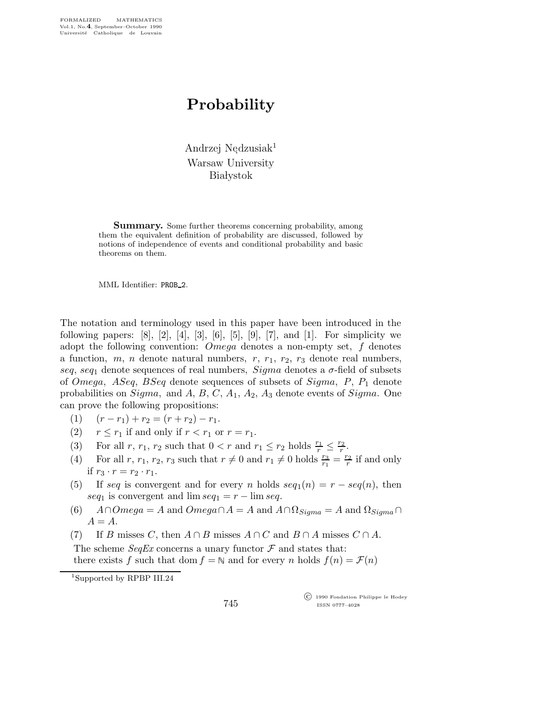## Probability

Andrzej Nędzusiak<sup>1</sup> Warsaw University **Białystok** 

**Summary.** Some further theorems concerning probability, among them the equivalent definition of probability are discussed, followed by notions of independence of events and conditional probability and basic theorems on them.

MML Identifier: PROB 2.

The notation and terminology used in this paper have been introduced in the following papers:  $[8]$ ,  $[2]$ ,  $[4]$ ,  $[3]$ ,  $[6]$ ,  $[5]$ ,  $[9]$ ,  $[7]$ , and  $[1]$ . For simplicity we adopt the following convention: Omega denotes a non-empty set, f denotes a function,  $m$ ,  $n$  denote natural numbers,  $r$ ,  $r_1$ ,  $r_2$ ,  $r_3$  denote real numbers, seq, seq<sub>1</sub> denote sequences of real numbers, Sigma denotes a  $\sigma$ -field of subsets of *Omega*,  $ASeq$ ,  $BSeq$  denote sequences of subsets of  $Sigma$ ,  $P_1$  denote probabilities on  $Sigma$ , and A, B, C,  $A_1$ ,  $A_2$ ,  $A_3$  denote events of  $Sigma$ . One can prove the following propositions:

- (1)  $(r r_1) + r_2 = (r + r_2) r_1.$
- (2)  $r \leq r_1$  if and only if  $r < r_1$  or  $r = r_1$ .
- (3) For all r,  $r_1$ ,  $r_2$  such that  $0 < r$  and  $r_1 \leq r_2$  holds  $\frac{r_1}{r} \leq \frac{r_2}{r}$  $\frac{r_2}{r}$ .
- (4) For all r,  $r_1$ ,  $r_2$ ,  $r_3$  such that  $r \neq 0$  and  $r_1 \neq 0$  holds  $\frac{r_3}{r_1} = \frac{r_2}{r}$  $\frac{r_2}{r}$  if and only if  $r_3 \cdot r = r_2 \cdot r_1$ .
- (5) If seq is convergent and for every n holds  $seq_1(n) = r seq(n)$ , then seq<sub>1</sub> is convergent and  $\lim \text{seq}_1 = r - \lim \text{seq}.$
- (6)  $A \cap Omega = A$  and  $Omega \cap A = A$  and  $A \cap \Omega_{Sigma} = A$  and  $\Omega_{Sigma} \cap \Omega$  $A = A$ .
- (7) If B misses C, then  $A \cap B$  misses  $A \cap C$  and  $B \cap A$  misses  $C \cap A$ . The scheme  $SeqEx$  concerns a unary functor  $\mathcal F$  and states that: there exists f such that dom  $f = N$  and for every n holds  $f(n) = \mathcal{F}(n)$

 c 1990 Fondation Philippe le Hodey ISSN 0777–4028

<sup>1</sup>Supported by RPBP III.24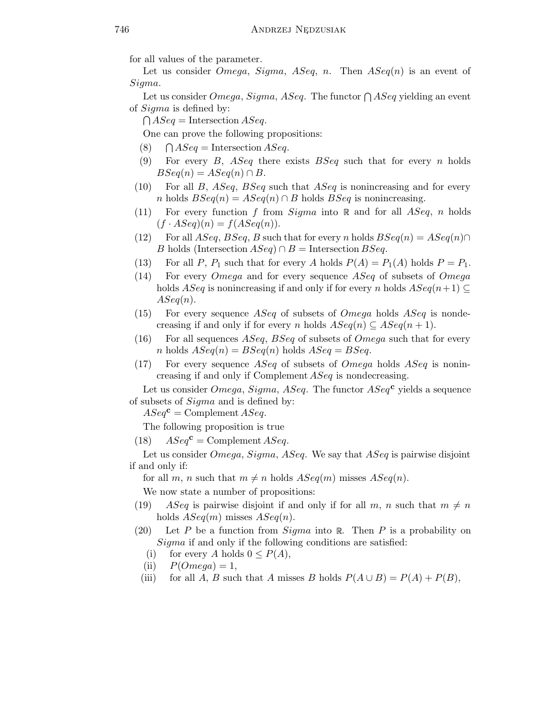for all values of the parameter.

Let us consider *Omega*, *Sigma*, *ASeq*, *n*. Then  $ASeq(n)$  is an event of Sigma.

Let us consider  $Omega$ ,  $Sigma$ ,  $Sigma$ ,  $ASeq$ . The functor  $\bigcap ASeq$  yielding an event of Sigma is defined by:

 $\bigcap \text{ASeq} = \text{Intersection } \text{ASeq}.$ 

One can prove the following propositions:

- $(8)$  $\bigcap \text{ASeq} = \text{Intersection} \text{ASeq}.$
- (9) For every B, ASeq there exists  $BSeq$  such that for every n holds  $BSeq(n) = ASeq(n) \cap B$ .
- $(10)$  For all B, ASeq, BSeq such that ASeq is nonincreasing and for every n holds  $BSeq(n) = ASeq(n) \cap B$  holds  $BSeq$  is nonincreasing.
- (11) For every function f from  $Sigma$  into  $\mathbb R$  and for all  $ASeq$ , n holds  $(f \cdot ASeq)(n) = f(ASeq(n)).$
- (12) For all  $ASeq$ ,  $BSeq$ , B such that for every n holds  $BSeq(n) = ASeq(n) \cap$ B holds (Intersection  $ASeq \cap B$  = Intersection  $BSeq$ .
- (13) For all P,  $P_1$  such that for every A holds  $P(A) = P_1(A)$  holds  $P = P_1$ .
- $(14)$  For every *Omega* and for every sequence *ASeq* of subsets of *Omega* holds  $ASeq$  is nonincreasing if and only if for every n holds  $ASeq(n+1) \subseteq$  $ASeq(n).$
- (15) For every sequence  $ASeq$  of subsets of  $Omega$  holds  $ASeq$  is nondecreasing if and only if for every n holds  $ASeq(n) \subseteq ASeq(n + 1)$ .
- (16) For all sequences  $ASeq$ ,  $BSeq$  of subsets of  $Omega$  such that for every n holds  $ASeq(n) = BSeq(n)$  holds  $ASeq = BSeq$ .
- (17) For every sequence  $ASeq$  of subsets of  $Omega$  holds  $ASeq$  is nonincreasing if and only if Complement ASeq is nondecreasing.

Let us consider *Omega, Sigma, ASeq.* The functor  $ASea^c$  yields a sequence of subsets of Sigma and is defined by:

 $ASeq^{\mathbf{c}} = \text{Complement } ASeq.$ 

The following proposition is true

(18)  $ASeq^{\mathbf{c}} = \text{Complement } ASeq.$ 

Let us consider *Omega*, *Sigma*, *ASeq*. We say that *ASeq* is pairwise disjoint if and only if:

for all m, n such that  $m \neq n$  holds  $ASeq(m)$  misses  $ASeq(n)$ .

We now state a number of propositions:

- (19) ASeq is pairwise disjoint if and only if for all m, n such that  $m \neq n$ holds  $ASeq(m)$  misses  $ASeq(n)$ .
- (20) Let P be a function from  $Sigma$  into R. Then P is a probability on Sigma if and only if the following conditions are satisfied:
	- (i) for every A holds  $0 \leq P(A)$ ,
	- (ii)  $P(Omega) = 1$ ,
	- (iii) for all A, B such that A misses B holds  $P(A \cup B) = P(A) + P(B)$ ,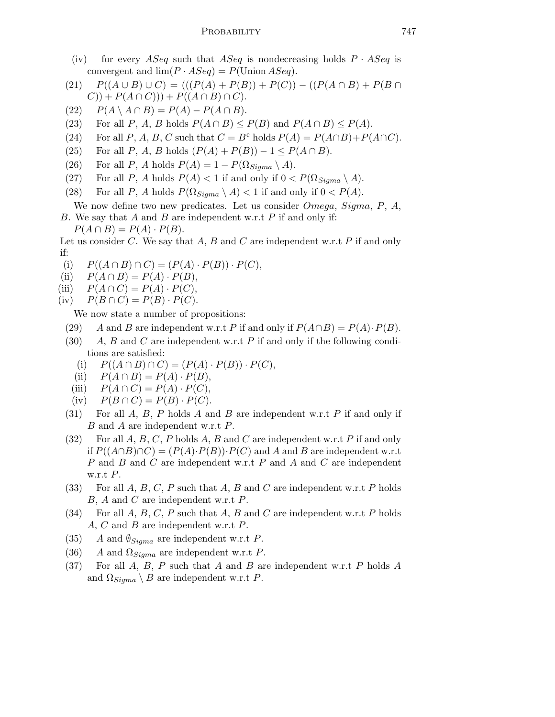- (iv) for every ASeq such that ASeq is nondecreasing holds  $P \cdot ASeq$  is convergent and  $\lim (P \cdot ASeq) = P(\text{Union } ASeq).$
- (21)  $P((A \cup B) \cup C) = (((P(A) + P(B)) + P(C)) ((P(A \cap B) + P(B \cap$  $(C)$ ) +  $P(A \cap C)$ )) +  $P((A \cap B) \cap C)$ .
- (22)  $P(A \setminus A \cap B) = P(A) P(A \cap B).$
- (23) For all P, A, B holds  $P(A \cap B) \leq P(B)$  and  $P(A \cap B) \leq P(A)$ .
- (24) For all P, A, B, C such that  $C = B^c$  holds  $P(A) = P(A \cap B) + P(A \cap C)$ .
- (25) For all P, A, B holds  $(P(A) + P(B)) 1 \leq P(A \cap B)$ .
- (26) For all P, A holds  $P(A) = 1 P(\Omega_{Sigma} \setminus A)$ .
- (27) For all P, A holds  $P(A) < 1$  if and only if  $0 < P(\Omega_{Sigma} \setminus A)$ .
- (28) For all P, A holds  $P(\Omega_{Sigma} \setminus A) < 1$  if and only if  $0 < P(A)$ .
- We now define two new predicates. Let us consider Omega, Sigma, P, A, B. We say that A and B are independent w.r.t P if and only if:  $P(A \cap B) = P(A) \cdot P(B).$
- Let us consider C. We say that A, B and C are independent w.r.t P if and only if:
- (i)  $P((A \cap B) \cap C) = (P(A) \cdot P(B)) \cdot P(C),$
- (ii)  $P(A \cap B) = P(A) \cdot P(B)$ ,
- (iii)  $P(A \cap C) = P(A) \cdot P(C)$ ,
- (iv)  $P(B \cap C) = P(B) \cdot P(C)$ .

We now state a number of propositions:

- (29) A and B are independent w.r.t P if and only if  $P(A \cap B) = P(A) \cdot P(B)$ .
- (30) A, B and C are independent w.r.t P if and only if the following conditions are satisfied:
	- (i)  $P((A \cap B) \cap C) = (P(A) \cdot P(B)) \cdot P(C),$
	- (ii)  $P(A \cap B) = P(A) \cdot P(B)$ ,
	- (iii)  $P(A \cap C) = P(A) \cdot P(C)$ ,
	- (iv)  $P(B \cap C) = P(B) \cdot P(C)$ .
- (31) For all  $A, B, P$  holds  $A$  and  $B$  are independent w.r.t  $P$  if and only if B and A are independent w.r.t P.
- (32) For all A, B, C, P holds A, B and C are independent w.r.t P if and only if  $P((A \cap B) \cap C) = (P(A) \cdot P(B)) \cdot P(C)$  and A and B are independent w.r.t P and B and C are independent w.r.t P and A and C are independent w.r.t  $P$ .
- (33) For all  $A, B, C, P$  such that  $A, B$  and  $C$  are independent w.r.t  $P$  holds B, A and C are independent w.r.t P.
- (34) For all A, B, C, P such that A, B and C are independent w.r.t P holds A, C and B are independent w.r.t P.
- (35) A and  $\oint_{Sigma}$  are independent w.r.t P.
- (36) A and  $\Omega_{Sigma}$  are independent w.r.t P.
- (37) For all A, B, P such that A and B are independent w.r.t P holds A and  $\Omega_{Sigma} \setminus B$  are independent w.r.t P.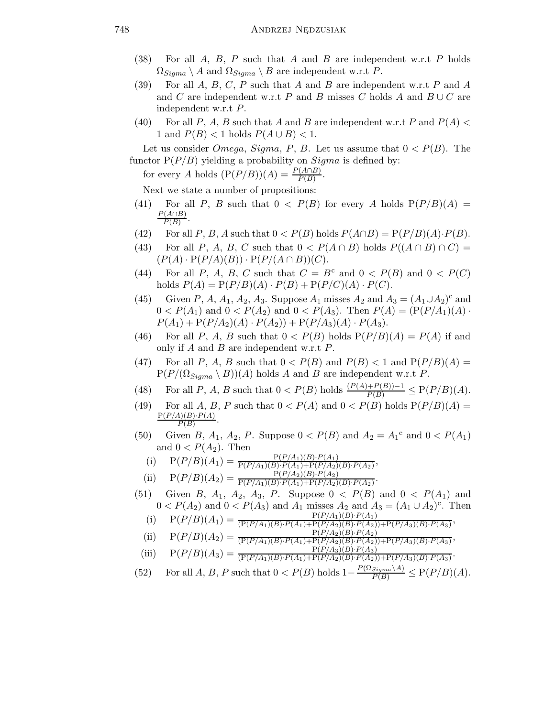- (38) For all  $A, B, P$  such that  $A$  and  $B$  are independent w.r.t  $P$  holds  $\Omega_{Sigma} \setminus A$  and  $\Omega_{Sigma} \setminus B$  are independent w.r.t P.
- (39) For all A, B, C, P such that A and B are independent w.r.t P and A and C are independent w.r.t P and B misses C holds A and  $B \cup C$  are independent w.r.t P.
- (40) For all P, A, B such that A and B are independent w.r.t P and  $P(A)$ 1 and  $P(B)$  < 1 holds  $P(A \cup B)$  < 1.

Let us consider *Omega*, *Sigma*, *P*, *B*. Let us assume that  $0 < P(B)$ . The functor  $P(P/B)$  yielding a probability on  $Sigma$  is defined by:

for every A holds  $(P(P/B))(A) = \frac{P(A \cap B)}{P(B)}$ .

Next we state a number of propositions:

- (41) For all P, B such that  $0 < P(B)$  for every A holds  $P(P/B)(A) =$  $P(A \cap B)$  $P(B)$ .
- (42) For all P, B, A such that  $0 < P(B)$  holds  $P(A \cap B) = P(P/B)(A) \cdot P(B)$ .
- (43) For all P, A, B, C such that  $0 < P(A \cap B)$  holds  $P((A \cap B) \cap C)$  $(P(A) \cdot P(P/A)(B)) \cdot P(P/(A \cap B))(C).$
- (44) For all P, A, B, C such that  $C = B^c$  and  $0 < P(B)$  and  $0 < P(C)$ holds  $P(A) = P(P/B)(A) \cdot P(B) + P(P/C)(A) \cdot P(C)$ .
- (45) Given P, A, A<sub>1</sub>, A<sub>2</sub>, A<sub>3</sub>. Suppose A<sub>1</sub> misses A<sub>2</sub> and  $A_3 = (A_1 \cup A_2)^c$  and  $0 < P(A_1)$  and  $0 < P(A_2)$  and  $0 < P(A_3)$ . Then  $P(A) = (P(P/A_1)(A) \cdot P(A_2))$  $P(A_1) + P(P/A_2)(A) \cdot P(A_2) + P(P/A_3)(A) \cdot P(A_3).$
- (46) For all P, A, B such that  $0 < P(B)$  holds  $P(P/B)(A) = P(A)$  if and only if  $A$  and  $B$  are independent w.r.t  $P$ .
- (47) For all P, A, B such that  $0 < P(B)$  and  $P(B) < 1$  and  $P(P/B)(A) =$  $P(P/(\Omega_{Sigma})$  A))(A) holds A and B are independent w.r.t P.
- (48) For all P, A, B such that  $0 < P(B)$  holds  $\frac{(P(A) + P(B)) 1}{P(B)} \le P(P/B)(A)$ .
- (49) For all A, B, P such that  $0 < P(A)$  and  $0 < P(B)$  holds  $P(P/B)(A) =$  $P(P/A)(B) \cdot P(A)$  $P(B)$ .
- (50) Given B,  $A_1$ ,  $A_2$ , P. Suppose  $0 < P(B)$  and  $A_2 = A_1^c$  and  $0 < P(A_1)$ and  $0 < P(A_2)$ . Then
	- (i)  $P(P/B)(A_1) = \frac{P(P/A_1)(B) \cdot P(A_1)}{P(P/A_1)(B) \cdot P(A_1) + P(P/A_2)(B) \cdot P(A_2)},$
- (ii)  $P(P/B)(A_2) = \frac{P(P/A_2)(B) \cdot P(A_2)}{P(P/A_1)(B) \cdot P(A_1) + P(P/A_2)(B) \cdot P(A_2)}$ .
- (51) Given B,  $A_1$ ,  $A_2$ ,  $A_3$ , P. Suppose  $0 < P(B)$  and  $0 < P(A_1)$  and  $0 < P(A_2)$  and  $0 < P(A_3)$  and  $A_1$  misses  $A_2$  and  $A_3 = (A_1 \cup A_2)^c$ . Then
	- (i)  $P(P/B)(A_1) = \frac{P(P/A_1)(B) \cdot P(A_1)}{(P(P/A_1)(B) \cdot P(A_1) + P(P/A_2)(B) \cdot P(A_2)) + P(P/A_3)(B) \cdot P(A_3)},$
	- (ii)  $P(P/B)(A_2) = \frac{P(P/A_2)(B) \cdot P(A_2)}{(P(P/A_1)(B) \cdot P(A_1) + P(P/A_2)(B) \cdot P(A_2)) + P(P/A_3)(B) \cdot P(A_3)},$
	- (iii)  $P(P/B)(A_3) = \frac{P(P/A_3)(B) \cdot P(A_3)}{(P(P/A_1)(B) \cdot P(A_1) + P(P/A_2)(B) \cdot P(A_2)) + P(P/A_3)(B) \cdot P(A_3)}$
- (52) For all A, B, P such that  $0 < P(B)$  holds  $1 \frac{P(\Omega_{Sigma\Delta})}{P(B)} \leq P(P/B)(A)$ .